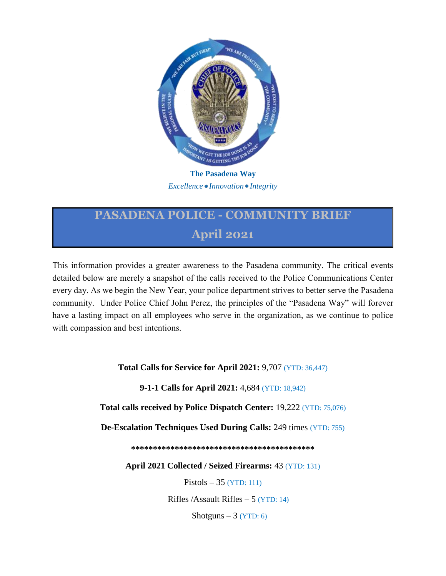

*Excellence Innovation Integrity*

## **PASADENA POLICE - COMMUNITY BRIEF April 2021**

This information provides a greater awareness to the Pasadena community. The critical events detailed below are merely a snapshot of the calls received to the Police Communications Center every day. As we begin the New Year, your police department strives to better serve the Pasadena community. Under Police Chief John Perez, the principles of the "Pasadena Way" will forever have a lasting impact on all employees who serve in the organization, as we continue to police with compassion and best intentions.

**Total Calls for Service for April 2021:** 9,707 (YTD: 36,447)

**9-1-1 Calls for April 2021:** 4,684 (YTD: 18,942)

**Total calls received by Police Dispatch Center:** 19,222 (YTD: 75,076)

**De-Escalation Techniques Used During Calls:** 249 times (YTD: 755)

**\*\*\*\*\*\*\*\*\*\*\*\*\*\*\*\*\*\*\*\*\*\*\*\*\*\*\*\*\*\*\*\*\*\*\*\*\*\*\*\*\*\***

**April 2021 Collected / Seized Firearms:** 43 (YTD: 131)

Pistols **–** 35 (YTD: 111)

Rifles  $/$ Assault Rifles  $-$  5 (YTD: 14)

Shotguns  $-3$  (YTD: 6)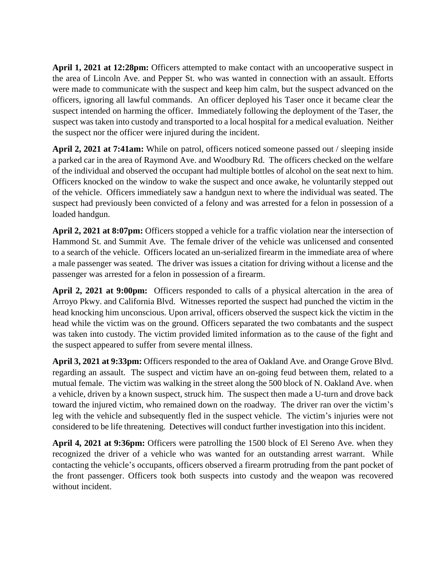**April 1, 2021 at 12:28pm:** Officers attempted to make contact with an uncooperative suspect in the area of Lincoln Ave. and Pepper St. who was wanted in connection with an assault. Efforts were made to communicate with the suspect and keep him calm, but the suspect advanced on the officers, ignoring all lawful commands. An officer deployed his Taser once it became clear the suspect intended on harming the officer. Immediately following the deployment of the Taser, the suspect was taken into custody and transported to a local hospital for a medical evaluation. Neither the suspect nor the officer were injured during the incident.

**April 2, 2021 at 7:41am:** While on patrol, officers noticed someone passed out / sleeping inside a parked car in the area of Raymond Ave. and Woodbury Rd. The officers checked on the welfare of the individual and observed the occupant had multiple bottles of alcohol on the seat next to him. Officers knocked on the window to wake the suspect and once awake, he voluntarily stepped out of the vehicle. Officers immediately saw a handgun next to where the individual was seated. The suspect had previously been convicted of a felony and was arrested for a felon in possession of a loaded handgun.

**April 2, 2021 at 8:07pm:** Officers stopped a vehicle for a traffic violation near the intersection of Hammond St. and Summit Ave. The female driver of the vehicle was unlicensed and consented to a search of the vehicle. Officers located an un-serialized firearm in the immediate area of where a male passenger was seated. The driver was issues a citation for driving without a license and the passenger was arrested for a felon in possession of a firearm.

**April 2, 2021 at 9:00pm:** Officers responded to calls of a physical altercation in the area of Arroyo Pkwy. and California Blvd. Witnesses reported the suspect had punched the victim in the head knocking him unconscious. Upon arrival, officers observed the suspect kick the victim in the head while the victim was on the ground. Officers separated the two combatants and the suspect was taken into custody. The victim provided limited information as to the cause of the fight and the suspect appeared to suffer from severe mental illness.

**April 3, 2021 at 9:33pm:** Officers responded to the area of Oakland Ave. and Orange Grove Blvd. regarding an assault. The suspect and victim have an on-going feud between them, related to a mutual female. The victim was walking in the street along the 500 block of N. Oakland Ave. when a vehicle, driven by a known suspect, struck him. The suspect then made a U-turn and drove back toward the injured victim, who remained down on the roadway. The driver ran over the victim's leg with the vehicle and subsequently fled in the suspect vehicle. The victim's injuries were not considered to be life threatening. Detectives will conduct further investigation into this incident.

**April 4, 2021 at 9:36pm:** Officers were patrolling the 1500 block of El Sereno Ave. when they recognized the driver of a vehicle who was wanted for an outstanding arrest warrant. While contacting the vehicle's occupants, officers observed a firearm protruding from the pant pocket of the front passenger. Officers took both suspects into custody and the weapon was recovered without incident.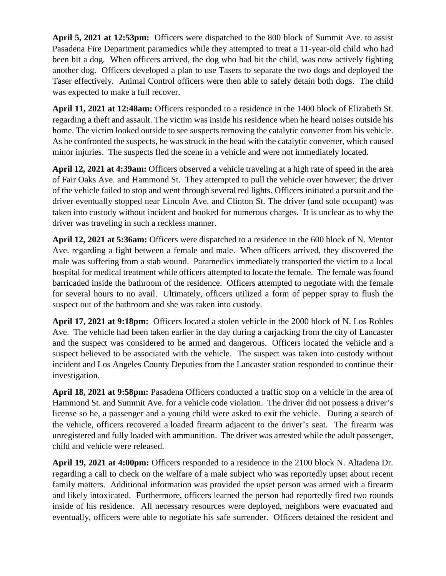**April 5, 2021 at 12:53pm:** Officers were dispatched to the 800 block of Summit Ave. to assist Pasadena Fire Department paramedics while they attempted to treat a 11-year-old child who had been bit a dog. When officers arrived, the dog who had bit the child, was now actively fighting another dog. Officers developed a plan to use Tasers to separate the two dogs and deployed the Taser effectively. Animal Control officers were then able to safely detain both dogs. The child was expected to make a full recover.

**April 11, 2021 at 12:48am:** Officers responded to a residence in the 1400 block of Elizabeth St. regarding a theft and assault. The victim was inside his residence when he heard noises outside his home. The victim looked outside to see suspects removing the catalytic converter from his vehicle. As he confronted the suspects, he was struck in the head with the catalytic converter, which caused minor injuries. The suspects fled the scene in a vehicle and were not immediately located.

**April 12, 2021 at 4:39am:** Officers observed a vehicle traveling at a high rate of speed in the area of Fair Oaks Ave. and Hammond St. They attempted to pull the vehicle over however; the driver of the vehicle failed to stop and went through several red lights. Officers initiated a pursuit and the driver eventually stopped near Lincoln Ave. and Clinton St. The driver (and sole occupant) was taken into custody without incident and booked for numerous charges. It is unclear as to why the driver was traveling in such a reckless manner.

**April 12, 2021 at 5:36am:** Officers were dispatched to a residence in the 600 block of N. Mentor Ave. regarding a fight between a female and male. When officers arrived, they discovered the male was suffering from a stab wound. Paramedics immediately transported the victim to a local hospital for medical treatment while officers attempted to locate the female. The female was found barricaded inside the bathroom of the residence. Officers attempted to negotiate with the female for several hours to no avail. Ultimately, officers utilized a form of pepper spray to flush the suspect out of the bathroom and she was taken into custody.

**April 17, 2021 at 9:18pm:** Officers located a stolen vehicle in the 2000 block of N. Los Robles Ave. The vehicle had been taken earlier in the day during a carjacking from the city of Lancaster and the suspect was considered to be armed and dangerous. Officers located the vehicle and a suspect believed to be associated with the vehicle. The suspect was taken into custody without incident and Los Angeles County Deputies from the Lancaster station responded to continue their investigation.

**April 18, 2021 at 9:58pm:** Pasadena Officers conducted a traffic stop on a vehicle in the area of Hammond St. and Summit Ave. for a vehicle code violation. The driver did not possess a driver's license so he, a passenger and a young child were asked to exit the vehicle. During a search of the vehicle, officers recovered a loaded firearm adjacent to the driver's seat. The firearm was unregistered and fully loaded with ammunition. The driver was arrested while the adult passenger, child and vehicle were released.

**April 19, 2021 at 4:00pm:** Officers responded to a residence in the 2100 block N. Altadena Dr. regarding a call to check on the welfare of a male subject who was reportedly upset about recent family matters. Additional information was provided the upset person was armed with a firearm and likely intoxicated. Furthermore, officers learned the person had reportedly fired two rounds inside of his residence. All necessary resources were deployed, neighbors were evacuated and eventually, officers were able to negotiate his safe surrender. Officers detained the resident and